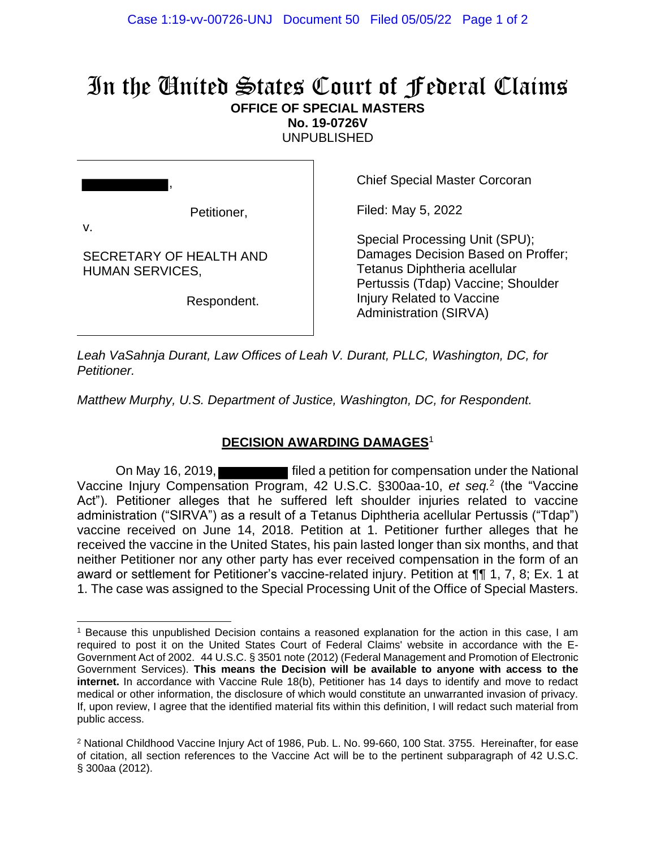## In the United States Court of Federal Claims **OFFICE OF SPECIAL MASTERS**

**No. 19-0726V**

UNPUBLISHED

| Petitioner,<br>V.                                 |
|---------------------------------------------------|
| SECRETARY OF HEALTH AND<br><b>HUMAN SERVICES,</b> |
| Respondent.                                       |

Chief Special Master Corcoran

Filed: May 5, 2022

Special Processing Unit (SPU); Damages Decision Based on Proffer; Tetanus Diphtheria acellular Pertussis (Tdap) Vaccine; Shoulder Injury Related to Vaccine Administration (SIRVA)

*Leah VaSahnja Durant, Law Offices of Leah V. Durant, PLLC, Washington, DC, for Petitioner.*

*Matthew Murphy, U.S. Department of Justice, Washington, DC, for Respondent.*

## **DECISION AWARDING DAMAGES**<sup>1</sup>

On May 16, 2019, **Fall and Struth and Auditor** filed a petition for compensation under the National Vaccine Injury Compensation Program, 42 U.S.C. §300aa-10, *et seq.*<sup>2</sup> (the "Vaccine Act"). Petitioner alleges that he suffered left shoulder injuries related to vaccine administration ("SIRVA") as a result of a Tetanus Diphtheria acellular Pertussis ("Tdap") vaccine received on June 14, 2018. Petition at 1. Petitioner further alleges that he received the vaccine in the United States, his pain lasted longer than six months, and that neither Petitioner nor any other party has ever received compensation in the form of an award or settlement for Petitioner's vaccine-related injury. Petition at ¶¶ 1, 7, 8; Ex. 1 at 1. The case was assigned to the Special Processing Unit of the Office of Special Masters.

<sup>1</sup> Because this unpublished Decision contains a reasoned explanation for the action in this case, I am required to post it on the United States Court of Federal Claims' website in accordance with the E-Government Act of 2002. 44 U.S.C. § 3501 note (2012) (Federal Management and Promotion of Electronic Government Services). **This means the Decision will be available to anyone with access to the internet.** In accordance with Vaccine Rule 18(b), Petitioner has 14 days to identify and move to redact medical or other information, the disclosure of which would constitute an unwarranted invasion of privacy. If, upon review, I agree that the identified material fits within this definition, I will redact such material from public access.

<sup>&</sup>lt;sup>2</sup> National Childhood Vaccine Injury Act of 1986, Pub. L. No. 99-660, 100 Stat. 3755. Hereinafter, for ease of citation, all section references to the Vaccine Act will be to the pertinent subparagraph of 42 U.S.C. § 300aa (2012).